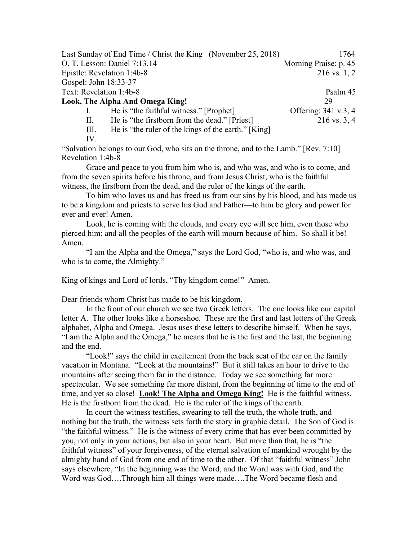Last Sunday of End Time / Christ the King (November 25, 2018) 1764 O. T. Lesson: Daniel 7:13,14 Morning Praise: p. 45 Epistle: Revelation 1:4b-8 216 vs. 1, 2 Gospel: John 18:33-37 Text: Revelation 1:4b-8 Psalm 45 Look, The Alpha And Omega King! 29 I. He is "the faithful witness." [Prophet] Offering: 341 v.3, 4 II. He is "the firstborn from the dead." [Priest] 216 vs. 3, 4

III. He is "the ruler of the kings of the earth." [King]

IV.

"Salvation belongs to our God, who sits on the throne, and to the Lamb." [Rev. 7:10] Revelation 1:4b-8

Grace and peace to you from him who is, and who was, and who is to come, and from the seven spirits before his throne, and from Jesus Christ, who is the faithful witness, the firstborn from the dead, and the ruler of the kings of the earth.

To him who loves us and has freed us from our sins by his blood, and has made us to be a kingdom and priests to serve his God and Father—to him be glory and power for ever and ever! Amen.

Look, he is coming with the clouds, and every eye will see him, even those who pierced him; and all the peoples of the earth will mourn because of him. So shall it be! Amen.

"I am the Alpha and the Omega," says the Lord God, "who is, and who was, and who is to come, the Almighty."

King of kings and Lord of lords, "Thy kingdom come!" Amen.

Dear friends whom Christ has made to be his kingdom.

In the front of our church we see two Greek letters. The one looks like our capital letter A. The other looks like a horseshoe. These are the first and last letters of the Greek alphabet, Alpha and Omega. Jesus uses these letters to describe himself. When he says, "I am the Alpha and the Omega," he means that he is the first and the last, the beginning and the end.

"Look!" says the child in excitement from the back seat of the car on the family vacation in Montana. "Look at the mountains!" But it still takes an hour to drive to the mountains after seeing them far in the distance. Today we see something far more spectacular. We see something far more distant, from the beginning of time to the end of time, and yet so close! **Look! The Alpha and Omega King!** He is the faithful witness. He is the firstborn from the dead. He is the ruler of the kings of the earth.

In court the witness testifies, swearing to tell the truth, the whole truth, and nothing but the truth, the witness sets forth the story in graphic detail. The Son of God is "the faithful witness." He is the witness of every crime that has ever been committed by you, not only in your actions, but also in your heart. But more than that, he is "the faithful witness" of your forgiveness, of the eternal salvation of mankind wrought by the almighty hand of God from one end of time to the other. Of that "faithful witness" John says elsewhere, "In the beginning was the Word, and the Word was with God, and the Word was God….Through him all things were made….The Word became flesh and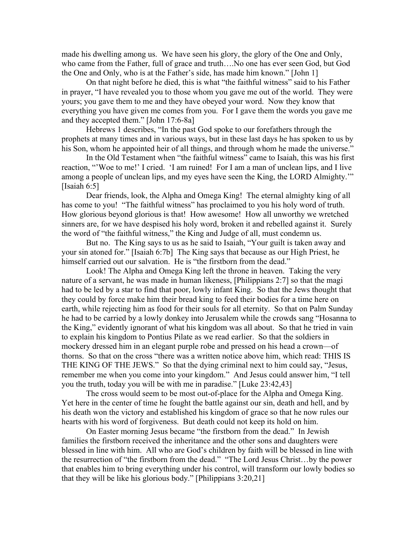made his dwelling among us. We have seen his glory, the glory of the One and Only, who came from the Father, full of grace and truth….No one has ever seen God, but God the One and Only, who is at the Father's side, has made him known." [John 1]

On that night before he died, this is what "the faithful witness" said to his Father in prayer, "I have revealed you to those whom you gave me out of the world. They were yours; you gave them to me and they have obeyed your word. Now they know that everything you have given me comes from you. For I gave them the words you gave me and they accepted them." [John 17:6-8a]

Hebrews 1 describes, "In the past God spoke to our forefathers through the prophets at many times and in various ways, but in these last days he has spoken to us by his Son, whom he appointed heir of all things, and through whom he made the universe."

In the Old Testament when "the faithful witness" came to Isaiah, this was his first reaction, "'Woe to me!' I cried. 'I am ruined! For I am a man of unclean lips, and I live among a people of unclean lips, and my eyes have seen the King, the LORD Almighty.'" [Isaiah 6:5]

Dear friends, look, the Alpha and Omega King! The eternal almighty king of all has come to you! "The faithful witness" has proclaimed to you his holy word of truth. How glorious beyond glorious is that! How awesome! How all unworthy we wretched sinners are, for we have despised his holy word, broken it and rebelled against it. Surely the word of "the faithful witness," the King and Judge of all, must condemn us.

But no. The King says to us as he said to Isaiah, "Your guilt is taken away and your sin atoned for." [Isaiah 6:7b] The King says that because as our High Priest, he himself carried out our salvation. He is "the firstborn from the dead."

Look! The Alpha and Omega King left the throne in heaven. Taking the very nature of a servant, he was made in human likeness, [Philippians 2:7] so that the magi had to be led by a star to find that poor, lowly infant King. So that the Jews thought that they could by force make him their bread king to feed their bodies for a time here on earth, while rejecting him as food for their souls for all eternity. So that on Palm Sunday he had to be carried by a lowly donkey into Jerusalem while the crowds sang "Hosanna to the King," evidently ignorant of what his kingdom was all about. So that he tried in vain to explain his kingdom to Pontius Pilate as we read earlier. So that the soldiers in mockery dressed him in an elegant purple robe and pressed on his head a crown—of thorns. So that on the cross "there was a written notice above him, which read: THIS IS THE KING OF THE JEWS." So that the dying criminal next to him could say, "Jesus, remember me when you come into your kingdom." And Jesus could answer him, "I tell you the truth, today you will be with me in paradise." [Luke 23:42,43]

The cross would seem to be most out-of-place for the Alpha and Omega King. Yet here in the center of time he fought the battle against our sin, death and hell, and by his death won the victory and established his kingdom of grace so that he now rules our hearts with his word of forgiveness. But death could not keep its hold on him.

On Easter morning Jesus became "the firstborn from the dead." In Jewish families the firstborn received the inheritance and the other sons and daughters were blessed in line with him. All who are God's children by faith will be blessed in line with the resurrection of "the firstborn from the dead." "The Lord Jesus Christ…by the power that enables him to bring everything under his control, will transform our lowly bodies so that they will be like his glorious body." [Philippians 3:20,21]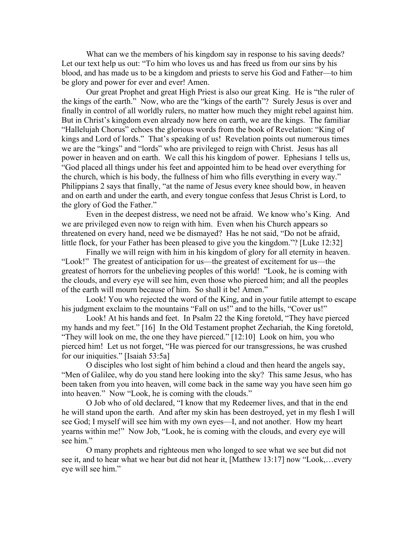What can we the members of his kingdom say in response to his saving deeds? Let our text help us out: "To him who loves us and has freed us from our sins by his blood, and has made us to be a kingdom and priests to serve his God and Father—to him be glory and power for ever and ever! Amen.

Our great Prophet and great High Priest is also our great King. He is "the ruler of the kings of the earth." Now, who are the "kings of the earth"? Surely Jesus is over and finally in control of all worldly rulers, no matter how much they might rebel against him. But in Christ's kingdom even already now here on earth, we are the kings. The familiar "Hallelujah Chorus" echoes the glorious words from the book of Revelation: "King of kings and Lord of lords." That's speaking of us! Revelation points out numerous times we are the "kings" and "lords" who are privileged to reign with Christ. Jesus has all power in heaven and on earth. We call this his kingdom of power. Ephesians 1 tells us, "God placed all things under his feet and appointed him to be head over everything for the church, which is his body, the fullness of him who fills everything in every way." Philippians 2 says that finally, "at the name of Jesus every knee should bow, in heaven and on earth and under the earth, and every tongue confess that Jesus Christ is Lord, to the glory of God the Father."

Even in the deepest distress, we need not be afraid. We know who's King. And we are privileged even now to reign with him. Even when his Church appears so threatened on every hand, need we be dismayed? Has he not said, "Do not be afraid, little flock, for your Father has been pleased to give you the kingdom."? [Luke 12:32]

Finally we will reign with him in his kingdom of glory for all eternity in heaven. "Look!" The greatest of anticipation for us—the greatest of excitement for us—the greatest of horrors for the unbelieving peoples of this world! "Look, he is coming with the clouds, and every eye will see him, even those who pierced him; and all the peoples of the earth will mourn because of him. So shall it be! Amen."

Look! You who rejected the word of the King, and in your futile attempt to escape his judgment exclaim to the mountains "Fall on us!" and to the hills, "Cover us!"

Look! At his hands and feet. In Psalm 22 the King foretold, "They have pierced my hands and my feet." [16] In the Old Testament prophet Zechariah, the King foretold, "They will look on me, the one they have pierced." [12:10] Look on him, you who pierced him! Let us not forget, "He was pierced for our transgressions, he was crushed for our iniquities." [Isaiah 53:5a]

O disciples who lost sight of him behind a cloud and then heard the angels say, "Men of Galilee, why do you stand here looking into the sky? This same Jesus, who has been taken from you into heaven, will come back in the same way you have seen him go into heaven." Now "Look, he is coming with the clouds."

O Job who of old declared, "I know that my Redeemer lives, and that in the end he will stand upon the earth. And after my skin has been destroyed, yet in my flesh I will see God; I myself will see him with my own eyes—I, and not another. How my heart yearns within me!" Now Job, "Look, he is coming with the clouds, and every eye will see him."

O many prophets and righteous men who longed to see what we see but did not see it, and to hear what we hear but did not hear it, [Matthew 13:17] now "Look,…every eye will see him."